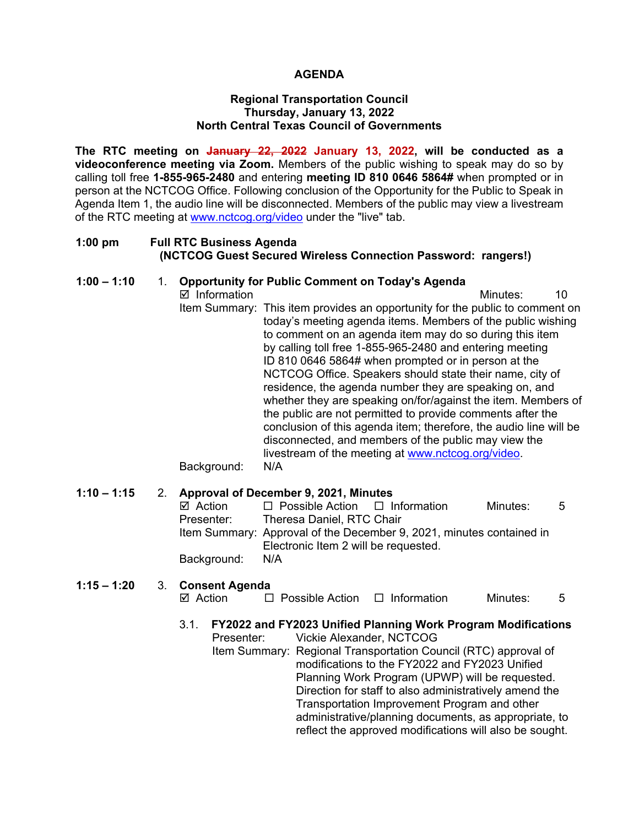### **AGENDA**

#### **Regional Transportation Council Thursday, January 13, 2022 North Central Texas Council of Governments**

**The RTC meeting on January 22, 2022 January 13, 2022, will be conducted as a videoconference meeting via Zoom.** Members of the public wishing to speak may do so by calling toll free **1-855-965-2480** and entering **meeting ID 810 0646 5864#** when prompted or in person at the NCTCOG Office. Following conclusion of the Opportunity for the Public to Speak in Agenda Item 1, the audio line will be disconnected. Members of the public may view a livestream of the RTC meeting at [www.nctcog.org/video](http://www.nctcog.org/video) under the "live" tab.

#### **1:00 pm Full RTC Business Agenda (NCTCOG Guest Secured Wireless Connection Password: rangers!)**

#### **1:00 – 1:10** 1. **Opportunity for Public Comment on Today's Agenda**

 $\boxtimes$  Information and a set of the matrice of the Minutes: 10 Item Summary: This item provides an opportunity for the public to comment on today's meeting agenda items. Members of the public wishing to comment on an agenda item may do so during this item by calling toll free 1-855-965-2480 and entering meeting ID 810 0646 5864# when prompted or in person at the NCTCOG Office. Speakers should state their name, city of residence, the agenda number they are speaking on, and whether they are speaking on/for/against the item. Members of the public are not permitted to provide comments after the conclusion of this agenda item; therefore, the audio line will be disconnected, and members of the public may view the livestream of the meeting at [www.nctcog.org/video.](http://www.nctcog.org/video) Background: N/A

#### **1:10 – 1:15** 2. **Approval of December 9, 2021, Minutes**

| ⊠ Action    | $\Box$ Possible Action $\Box$ Information                                                                    |  | Minutes: | -5 |
|-------------|--------------------------------------------------------------------------------------------------------------|--|----------|----|
| Presenter:  | Theresa Daniel, RTC Chair                                                                                    |  |          |    |
|             | Item Summary: Approval of the December 9, 2021, minutes contained in<br>Electronic Item 2 will be requested. |  |          |    |
|             |                                                                                                              |  |          |    |
| Background: | N/A                                                                                                          |  |          |    |
|             |                                                                                                              |  |          |    |

#### **1:15 – 1:20** 3. **Consent Agenda**  $\Box$  Possible Action  $\Box$  Information Minutes: 5

- 3.1. **FY2022 and FY2023 Unified Planning Work Program Modifications**
	- Presenter: Vickie Alexander, NCTCOG Item Summary: Regional Transportation Council (RTC) approval of modifications to the FY2022 and FY2023 Unified Planning Work Program (UPWP) will be requested. Direction for staff to also administratively amend the Transportation Improvement Program and other administrative/planning documents, as appropriate, to reflect the approved modifications will also be sought.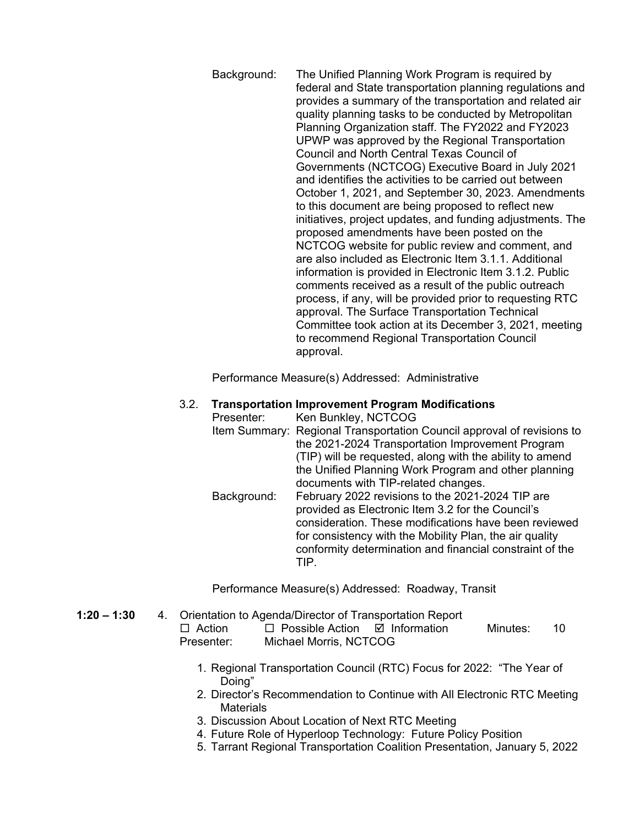Background: The Unified Planning Work Program is required by federal and State transportation planning regulations and provides a summary of the transportation and related air quality planning tasks to be conducted by Metropolitan Planning Organization staff. The FY2022 and FY2023 UPWP was approved by the Regional Transportation Council and North Central Texas Council of Governments (NCTCOG) Executive Board in July 2021 and identifies the activities to be carried out between October 1, 2021, and September 30, 2023. Amendments to this document are being proposed to reflect new initiatives, project updates, and funding adjustments. The proposed amendments have been posted on the NCTCOG website for public review and comment, and are also included as Electronic Item 3.1.1. Additional information is provided in Electronic Item 3.1.2. Public comments received as a result of the public outreach process, if any, will be provided prior to requesting RTC approval. The Surface Transportation Technical Committee took action at its December 3, 2021, meeting to recommend Regional Transportation Council approval.

Performance Measure(s) Addressed: Administrative

#### 3.2. **Transportation Improvement Program Modifications**

Presenter: Ken Bunkley, NCTCOG Item Summary: Regional Transportation Council approval of revisions to the 2021-2024 Transportation Improvement Program (TIP) will be requested, along with the ability to amend the Unified Planning Work Program and other planning documents with TIP-related changes.

Background: February 2022 revisions to the 2021-2024 TIP are provided as Electronic Item 3.2 for the Council's consideration. These modifications have been reviewed for consistency with the Mobility Plan, the air quality conformity determination and financial constraint of the TIP.

Performance Measure(s) Addressed: Roadway, Transit

- **1:20 – 1:30** 4. Orientation to Agenda/Director of Transportation Report  $\Box$  Action  $\Box$  Possible Action  $\Box$  Information Minutes: 10 Presenter: Michael Morris, NCTCOG
	- 1. Regional Transportation Council (RTC) Focus for 2022: "The Year of Doing"
	- 2. Director's Recommendation to Continue with All Electronic RTC Meeting **Materials**
	- 3. Discussion About Location of Next RTC Meeting
	- 4. Future Role of Hyperloop Technology: Future Policy Position
	- 5. Tarrant Regional Transportation Coalition Presentation, January 5, 2022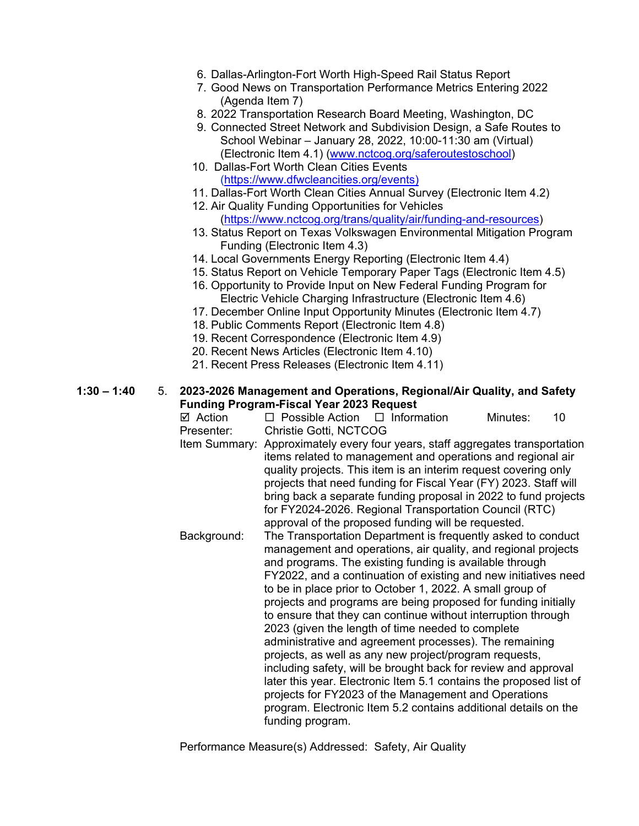- 6. Dallas-Arlington-Fort Worth High-Speed Rail Status Report
- 7. Good News on Transportation Performance Metrics Entering 2022 (Agenda Item 7)
- 8. 2022 Transportation Research Board Meeting, Washington, DC
- 9. Connected Street Network and Subdivision Design, a Safe Routes to School Webinar – January 28, 2022, 10:00-11:30 am (Virtual) (Electronic Item 4.1) [\(www.nctcog.org/saferoutestoschool\)](http://www.nctcog.org/saferoutestoschool)
- 10. Dallas-Fort Worth Clean Cities Events [\(https://www.dfwcleancities.org/events\)](https://www.dfwcleancities.org/events)
- 11. Dallas-Fort Worth Clean Cities Annual Survey (Electronic Item 4.2)
- 12. Air Quality Funding Opportunities for Vehicles [\(https://www.nctcog.org/trans/quality/air/funding-and-resources\)](https://www.nctcog.org/trans/quality/air/funding-and-resources)
- 13. Status Report on Texas Volkswagen Environmental Mitigation Program Funding (Electronic Item 4.3)
- 14. Local Governments Energy Reporting (Electronic Item 4.4)
- 15. Status Report on Vehicle Temporary Paper Tags (Electronic Item 4.5)
- 16. Opportunity to Provide Input on New Federal Funding Program for Electric Vehicle Charging Infrastructure (Electronic Item 4.6)
- 17. December Online Input Opportunity Minutes (Electronic Item 4.7)
- 18. Public Comments Report (Electronic Item 4.8)
- 19. Recent Correspondence (Electronic Item 4.9)
- 20. Recent News Articles (Electronic Item 4.10)
- 21. Recent Press Releases (Electronic Item 4.11)

**1:30 – 1:40** 5. **2023-2026 Management and Operations, Regional/Air Quality, and Safety Funding Program-Fiscal Year 2023 Request**

 $\boxtimes$  Action  $\Box$  Possible Action  $\Box$  Information Minutes: 10 Presenter: Christie Gotti, NCTCOG Item Summary: Approximately every four years, staff aggregates transportation items related to management and operations and regional air quality projects. This item is an interim request covering only projects that need funding for Fiscal Year (FY) 2023. Staff will bring back a separate funding proposal in 2022 to fund projects for FY2024-2026. Regional Transportation Council (RTC) approval of the proposed funding will be requested. Background: The Transportation Department is frequently asked to conduct management and operations, air quality, and regional projects and programs. The existing funding is available through FY2022, and a continuation of existing and new initiatives need to be in place prior to October 1, 2022. A small group of projects and programs are being proposed for funding initially to ensure that they can continue without interruption through 2023 (given the length of time needed to complete administrative and agreement processes). The remaining projects, as well as any new project/program requests, including safety, will be brought back for review and approval later this year. Electronic Item 5.1 contains the proposed list of projects for FY2023 of the Management and Operations program. Electronic Item 5.2 contains additional details on the funding program.

Performance Measure(s) Addressed: Safety, Air Quality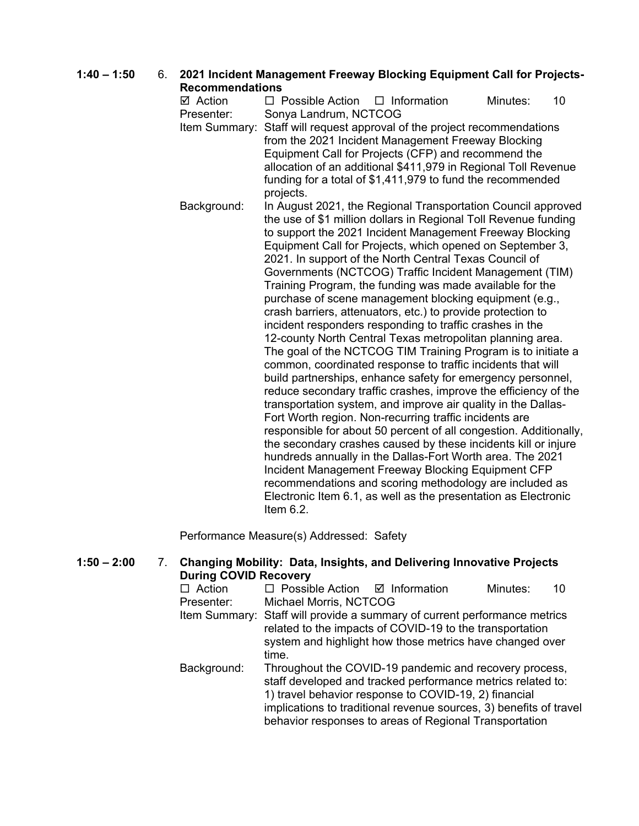**1:40 – 1:50** 6. **2021 Incident Management Freeway Blocking Equipment Call for Projects-Recommendations**

 $\boxtimes$  Action  $\Box$  Possible Action  $\Box$  Information Minutes: 10 Presenter: Sonya Landrum, NCTCOG Item Summary: Staff will request approval of the project recommendations from the 2021 Incident Management Freeway Blocking Equipment Call for Projects (CFP) and recommend the allocation of an additional \$411,979 in Regional Toll Revenue funding for a total of \$1,411,979 to fund the recommended projects. Background: In August 2021, the Regional Transportation Council approved the use of \$1 million dollars in Regional Toll Revenue funding to support the 2021 Incident Management Freeway Blocking Equipment Call for Projects, which opened on September 3, 2021. In support of the North Central Texas Council of Governments (NCTCOG) Traffic Incident Management (TIM) Training Program, the funding was made available for the purchase of scene management blocking equipment (e.g., crash barriers, attenuators, etc.) to provide protection to incident responders responding to traffic crashes in the 12-county North Central Texas metropolitan planning area. The goal of the NCTCOG TIM Training Program is to initiate a common, coordinated response to traffic incidents that will build partnerships, enhance safety for emergency personnel, reduce secondary traffic crashes, improve the efficiency of the transportation system, and improve air quality in the Dallas-Fort Worth region. Non-recurring traffic incidents are responsible for about 50 percent of all congestion. Additionally, the secondary crashes caused by these incidents kill or injure hundreds annually in the Dallas-Fort Worth area. The 2021 Incident Management Freeway Blocking Equipment CFP recommendations and scoring methodology are included as Electronic Item 6.1, as well as the presentation as Electronic Item 6.2.

Performance Measure(s) Addressed: Safety

## **1:50 – 2:00** 7. **Changing Mobility: Data, Insights, and Delivering Innovative Projects During COVID Recovery**

| Action      | $\Box$ Possible Action $\Box$ Information                                                                                                                                                                  |                                                                                                                                                                                                                                                                                                                | Minutes: |  |
|-------------|------------------------------------------------------------------------------------------------------------------------------------------------------------------------------------------------------------|----------------------------------------------------------------------------------------------------------------------------------------------------------------------------------------------------------------------------------------------------------------------------------------------------------------|----------|--|
| Presenter:  | Michael Morris, NCTCOG                                                                                                                                                                                     |                                                                                                                                                                                                                                                                                                                |          |  |
|             | Item Summary: Staff will provide a summary of current performance metrics<br>related to the impacts of COVID-19 to the transportation<br>system and highlight how those metrics have changed over<br>time. |                                                                                                                                                                                                                                                                                                                |          |  |
| Background: |                                                                                                                                                                                                            | Throughout the COVID-19 pandemic and recovery process,<br>staff developed and tracked performance metrics related to:<br>1) travel behavior response to COVID-19, 2) financial<br>implications to traditional revenue sources, 3) benefits of travel<br>behavior responses to areas of Regional Transportation |          |  |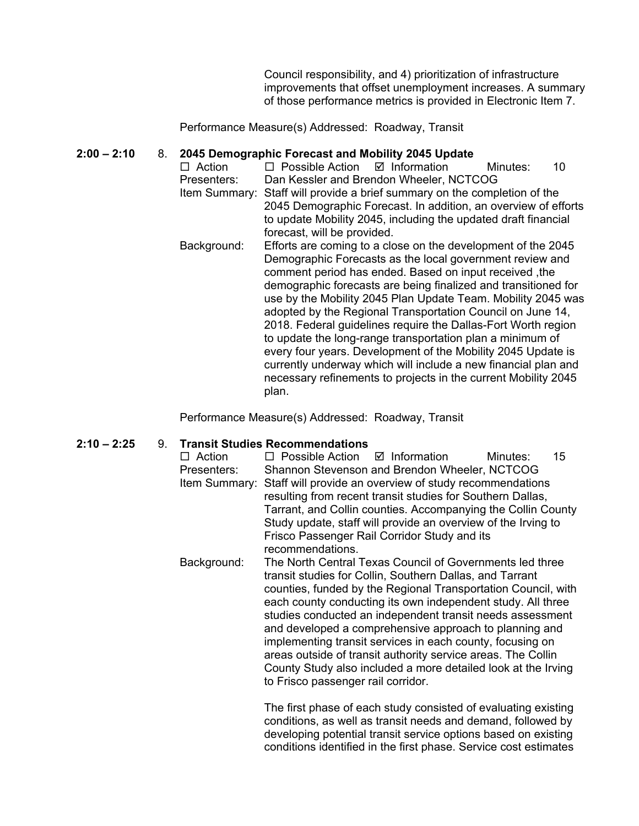Council responsibility, and 4) prioritization of infrastructure improvements that offset unemployment increases. A summary of those performance metrics is provided in Electronic Item 7.

Performance Measure(s) Addressed: Roadway, Transit

# **2:00 – 2:10** 8. **2045 Demographic Forecast and Mobility 2045 Update**

- $\Box$  Possible Action  $\Box$  Information Minutes: 10 Presenters: Dan Kessler and Brendon Wheeler, NCTCOG Item Summary: Staff will provide a brief summary on the completion of the 2045 Demographic Forecast. In addition, an overview of efforts to update Mobility 2045, including the updated draft financial forecast, will be provided.
- Background: Efforts are coming to a close on the development of the 2045 Demographic Forecasts as the local government review and comment period has ended. Based on input received ,the demographic forecasts are being finalized and transitioned for use by the Mobility 2045 Plan Update Team. Mobility 2045 was adopted by the Regional Transportation Council on June 14, 2018. Federal guidelines require the Dallas-Fort Worth region to update the long-range transportation plan a minimum of every four years. Development of the Mobility 2045 Update is currently underway which will include a new financial plan and necessary refinements to projects in the current Mobility 2045 plan.

Performance Measure(s) Addressed: Roadway, Transit

#### **2:10 – 2:25** 9. **Transit Studies Recommendations**

- $\Box$  Action  $\Box$  Possible Action  $\Box$  Information Minutes: 15 Presenters: Shannon Stevenson and Brendon Wheeler, NCTCOG Item Summary: Staff will provide an overview of study recommendations resulting from recent transit studies for Southern Dallas, Tarrant, and Collin counties. Accompanying the Collin County Study update, staff will provide an overview of the Irving to Frisco Passenger Rail Corridor Study and its recommendations.
- Background: The North Central Texas Council of Governments led three transit studies for Collin, Southern Dallas, and Tarrant counties, funded by the Regional Transportation Council, with each county conducting its own independent study. All three studies conducted an independent transit needs assessment and developed a comprehensive approach to planning and implementing transit services in each county, focusing on areas outside of transit authority service areas. The Collin County Study also included a more detailed look at the Irving to Frisco passenger rail corridor.

The first phase of each study consisted of evaluating existing conditions, as well as transit needs and demand, followed by developing potential transit service options based on existing conditions identified in the first phase. Service cost estimates